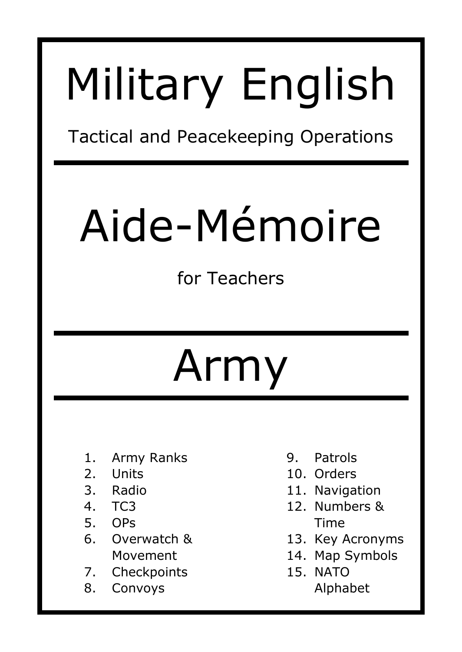# Military English

Tactical and Peacekeeping Operations

# Aide-Mémoire

for Teachers

# Army

- 1. Army Ranks
- 2. Units
- 3. Radio
- 4. TC3
- 5. OPs
- 6. Overwatch & Movement
- 7. Checkpoints
- 8. Convoys
- 9. Patrols
- 10. Orders
- 11. Navigation
- 12. Numbers & Time
- 13. Key Acronyms
- 14. Map Symbols
- 15. NATO
	- Alphabet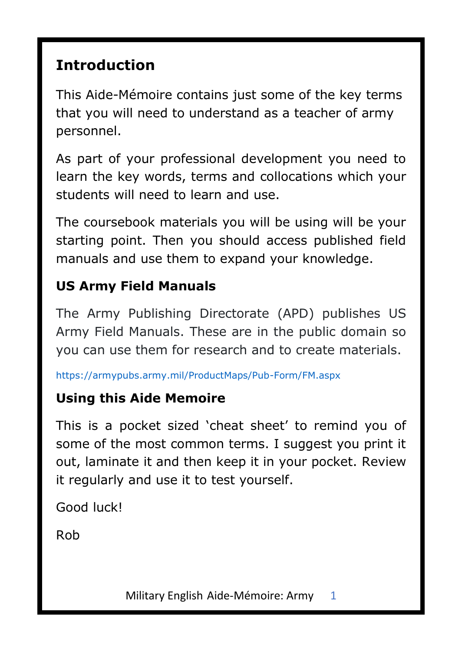### **Introduction**

This Aide-Mémoire contains just some of the key terms that you will need to understand as a teacher of army personnel.

As part of your professional development you need to learn the key words, terms and collocations which your students will need to learn and use.

The coursebook materials you will be using will be your starting point. Then you should access published field manuals and use them to expand your knowledge.

#### **US Army Field Manuals**

The Army Publishing Directorate (APD) publishes US Army Field Manuals. These are in the public domain so you can use them for research and to create materials.

https://armypubs.army.mil/ProductMaps/Pub-Form/FM.aspx

#### **Using this Aide Memoire**

This is a pocket sized 'cheat sheet' to remind you of some of the most common terms. I suggest you print it out, laminate it and then keep it in your pocket. Review it regularly and use it to test yourself.

Good luck!

Rob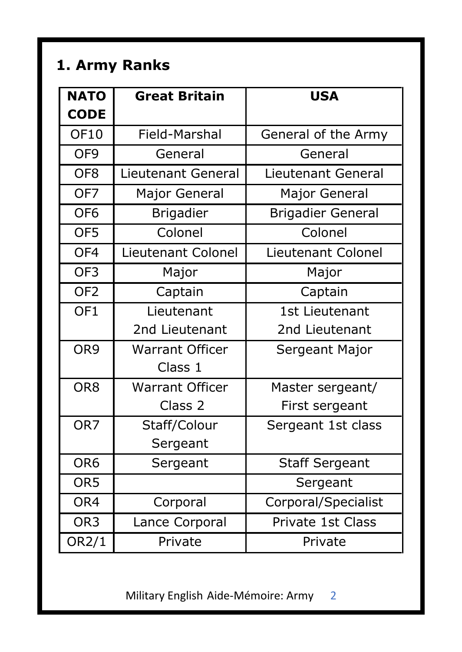# **1. Army Ranks**

| <b>NATO</b>     | <b>Great Britain</b>      | <b>USA</b>               |
|-----------------|---------------------------|--------------------------|
| <b>CODE</b>     |                           |                          |
| OF10            | Field-Marshal             | General of the Army      |
| OF <sub>9</sub> | General                   | General                  |
| OF <sub>8</sub> | Lieutenant General        | Lieutenant General       |
| OF <sub>7</sub> | Major General             | Major General            |
| OF <sub>6</sub> | <b>Brigadier</b>          | <b>Brigadier General</b> |
| OF5             | Colonel                   | Colonel                  |
| OF <sub>4</sub> | <b>Lieutenant Colonel</b> | Lieutenant Colonel       |
| OF3             | Major                     | Major                    |
| OF <sub>2</sub> | Captain                   | Captain                  |
| OF <sub>1</sub> | Lieutenant                | 1st Lieutenant           |
|                 | 2nd Lieutenant            | 2nd Lieutenant           |
| OR9             | <b>Warrant Officer</b>    | Sergeant Major           |
|                 | Class 1                   |                          |
| OR <sub>8</sub> | Warrant Officer           | Master sergeant/         |
|                 | Class <sub>2</sub>        | First sergeant           |
| OR <sub>7</sub> | Staff/Colour              | Sergeant 1st class       |
|                 | Sergeant                  |                          |
| OR <sub>6</sub> | Sergeant                  | <b>Staff Sergeant</b>    |
| OR <sub>5</sub> |                           | Sergeant                 |
| OR4             | Corporal                  | Corporal/Specialist      |
| OR <sub>3</sub> | Lance Corporal            | Private 1st Class        |
| OR2/1           | Private                   | Private                  |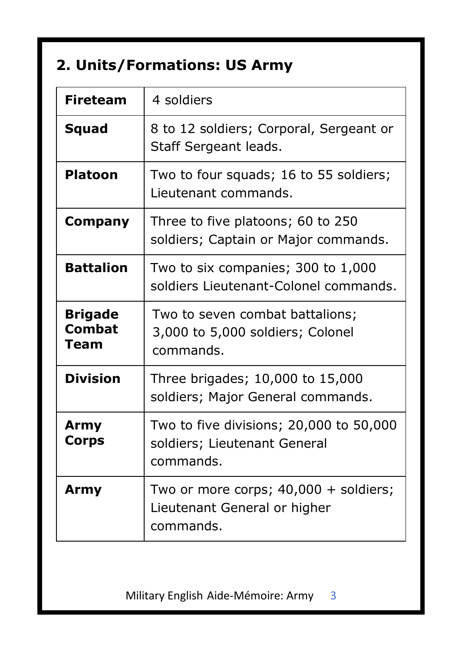# **2. Units/Formations: US Army**

| <b>Fireteam</b>                  | 4 soldiers                                                                           |
|----------------------------------|--------------------------------------------------------------------------------------|
| Squad                            | 8 to 12 soldiers; Corporal, Sergeant or<br>Staff Sergeant leads.                     |
| <b>Platoon</b>                   | Two to four squads; 16 to 55 soldiers;<br>Lieutenant commands.                       |
| Company                          | Three to five platoons; 60 to 250<br>soldiers; Captain or Major commands.            |
| <b>Battalion</b>                 | Two to six companies; 300 to 1,000<br>soldiers Lieutenant-Colonel commands.          |
| <b>Brigade</b><br>Combat<br>Team | Two to seven combat battalions;<br>3,000 to 5,000 soldiers; Colonel<br>commands.     |
| <b>Division</b>                  | Three brigades; 10,000 to 15,000<br>soldiers; Major General commands.                |
| Army<br>Corps                    | Two to five divisions; 20,000 to 50,000<br>soldiers; Lieutenant General<br>commands. |
| Army                             | Two or more corps; $40,000 +$ soldiers;<br>Lieutenant General or higher<br>commands. |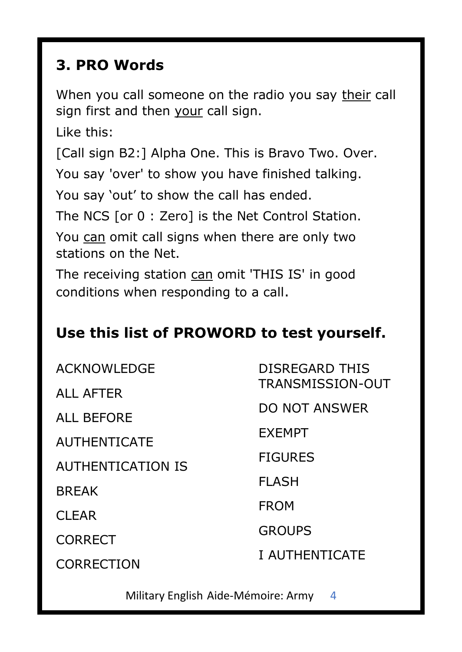#### **3. PRO Words**

When you call someone on the radio you say their call sign first and then your call sign.

Like this:

[Call sign B2:] Alpha One. This is Bravo Two. Over.

You say 'over' to show you have finished talking.

You say 'out' to show the call has ended.

The NCS [or 0 : Zero] is the Net Control Station.

You can omit call signs when there are only two stations on the Net.

The receiving station can omit 'THIS IS' in good conditions when responding to a call.

#### **Use this list of PROWORD to test yourself.**

| ACKNOWLEDGE         | DISREGARD THIS       |  |
|---------------------|----------------------|--|
| ALL AFTER           | TRANSMISSION-OUT     |  |
| ALL BEFORE          | <b>DO NOT ANSWER</b> |  |
| <b>AUTHENTICATE</b> | <b>FXFMPT</b>        |  |
| AUTHENTICATION IS   | <b>FIGURES</b>       |  |
| <b>BRFAK</b>        | FI ASH               |  |
| CI FAR              | <b>FROM</b>          |  |
|                     | <b>GROUPS</b>        |  |
| CORRECT             | I AUTHENTICATE       |  |
| CORRECTION          |                      |  |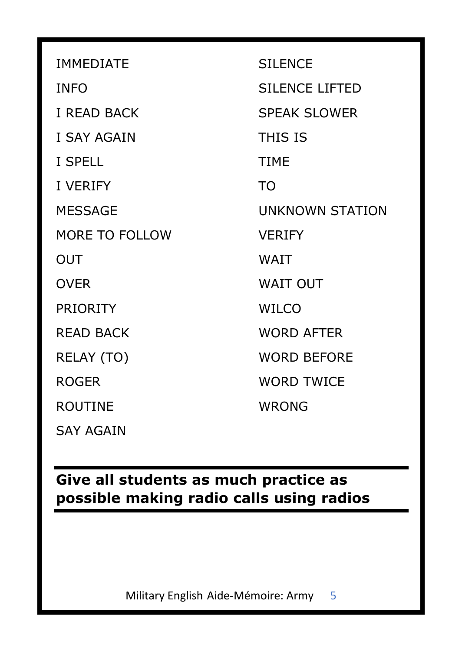| <b>IMMEDIATE</b>   | <b>STI ENCE</b>        |
|--------------------|------------------------|
| <b>INFO</b>        | SILENCE LIFTED         |
| <b>I READ BACK</b> | <b>SPFAK SLOWER</b>    |
| <b>I SAY AGAIN</b> | THIS IS                |
| I SPELL            | <b>TIMF</b>            |
| <b>I VERIFY</b>    | TO.                    |
| <b>MESSAGE</b>     | <b>UNKNOWN STATION</b> |
| MORE TO FOLLOW     | <b>VERIFY</b>          |
| OUT                | <b>WAIT</b>            |
| <b>OVER</b>        | <b>WAIT OUT</b>        |
| <b>PRIORITY</b>    | WILCO                  |
| READ BACK          | <b>WORD AFTER</b>      |
| RELAY (TO)         | <b>WORD BEFORE</b>     |
| ROGER              | <b>WORD TWICF</b>      |
| ROUTINE            | <b>WRONG</b>           |
| <b>SAY AGAIN</b>   |                        |

**Give all students as much practice as possible making radio calls using radios**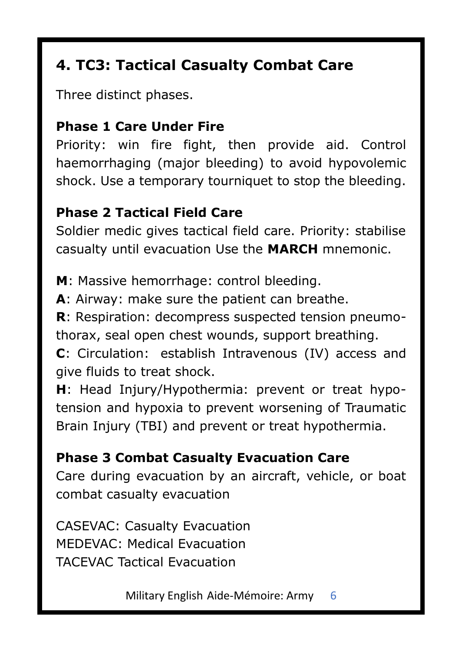# **4. TC3: Tactical Casualty Combat Care**

Three distinct phases.

#### **Phase 1 Care Under Fire**

Priority: win fire fight, then provide aid. Control haemorrhaging (major bleeding) to avoid hypovolemic shock. Use a temporary tourniquet to stop the bleeding.

#### **Phase 2 Tactical Field Care**

Soldier medic gives tactical field care. Priority: stabilise casualty until evacuation Use the **MARCH** mnemonic.

**M**: Massive hemorrhage: control bleeding.

**A**: Airway: make sure the patient can breathe.

**R**: Respiration: decompress suspected tension pneumothorax, seal open chest wounds, support breathing.

**C**: Circulation: establish Intravenous (IV) access and give fluids to treat shock.

**H**: Head Injury/Hypothermia: prevent or treat hypotension and hypoxia to prevent worsening of Traumatic Brain Injury (TBI) and prevent or treat hypothermia.

**Phase 3 Combat Casualty Evacuation Care** Care during evacuation by an aircraft, vehicle, or boat combat casualty evacuation

CASEVAC: Casualty Evacuation MEDEVAC: Medical Evacuation TACEVAC Tactical Evacuation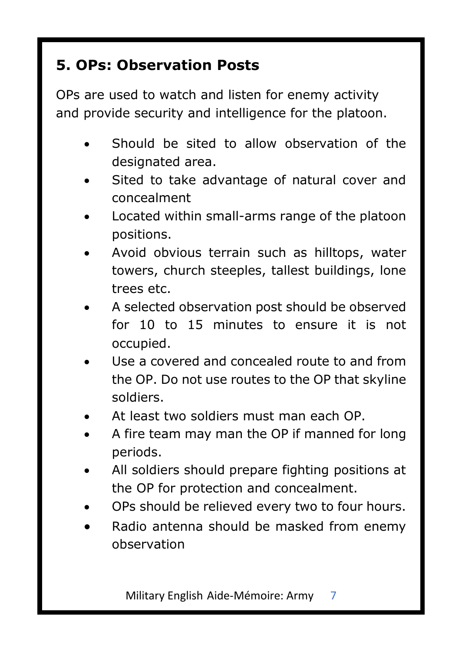# **5. OPs: Observation Posts**

OPs are used to watch and listen for enemy activity and provide security and intelligence for the platoon.

- Should be sited to allow observation of the designated area.
- Sited to take advantage of natural cover and concealment
- Located within small-arms range of the platoon positions.
- Avoid obvious terrain such as hilltops, water towers, church steeples, tallest buildings, lone trees etc.
- A selected observation post should be observed for 10 to 15 minutes to ensure it is not occupied.
- Use a covered and concealed route to and from the OP. Do not use routes to the OP that skyline soldiers.
- At least two soldiers must man each OP.
- A fire team may man the OP if manned for long periods.
- All soldiers should prepare fighting positions at the OP for protection and concealment.
- OPs should be relieved every two to four hours.
- Radio antenna should be masked from enemy observation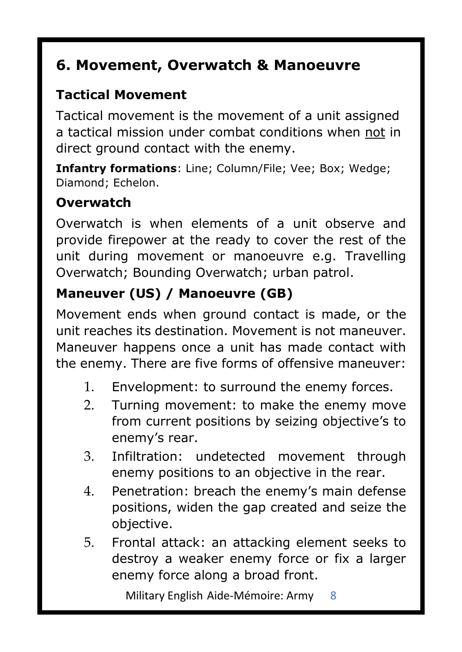## **6. Movement, Overwatch & Manoeuvre**

#### **Tactical Movement**

Tactical movement is the movement of a unit assigned a tactical mission under combat conditions when not in direct ground contact with the enemy.

**Infantry formations**: Line; Column/File; Vee; Box; Wedge; Diamond; Echelon.

#### **Overwatch**

Overwatch is when elements of a unit observe and provide firepower at the ready to cover the rest of the unit during movement or manoeuvre e.g. Travelling Overwatch; Bounding Overwatch; urban patrol.

#### **Maneuver (US) / Manoeuvre (GB)**

Movement ends when ground contact is made, or the unit reaches its destination. Movement is not maneuver. Maneuver happens once a unit has made contact with the enemy. There are five forms of offensive maneuver:

- 1. Envelopment: to surround the enemy forces.
- 2. Turning movement: to make the enemy move from current positions by seizing objective's to enemy's rear.
- 3. Infiltration: undetected movement through enemy positions to an objective in the rear.
- 4. Penetration: breach the enemy's main defense positions, widen the gap created and seize the objective.
- 5. Frontal attack: an attacking element seeks to destroy a weaker enemy force or fix a larger enemy force along a broad front.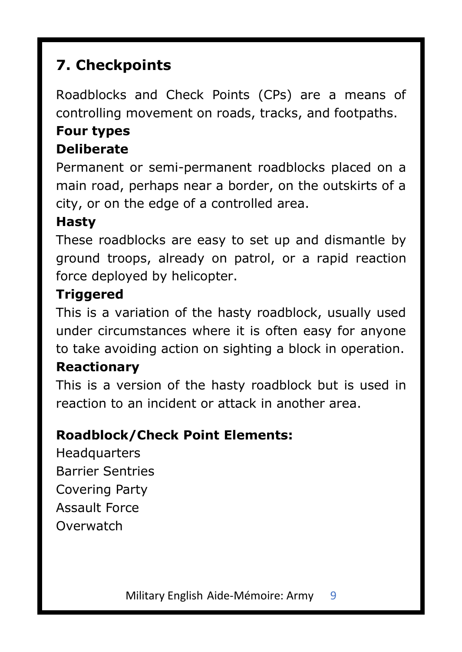# **7. Checkpoints**

Roadblocks and Check Points (CPs) are a means of controlling movement on roads, tracks, and footpaths.

# **Four types**

#### **Deliberate**

Permanent or semi-permanent roadblocks placed on a main road, perhaps near a border, on the outskirts of a city, or on the edge of a controlled area.

#### **Hasty**

These roadblocks are easy to set up and dismantle by ground troops, already on patrol, or a rapid reaction force deployed by helicopter.

#### **Triggered**

This is a variation of the hasty roadblock, usually used under circumstances where it is often easy for anyone to take avoiding action on sighting a block in operation.

#### **Reactionary**

This is a version of the hasty roadblock but is used in reaction to an incident or attack in another area.

#### **Roadblock/Check Point Elements:**

**Headquarters** Barrier Sentries Covering Party Assault Force **Overwatch**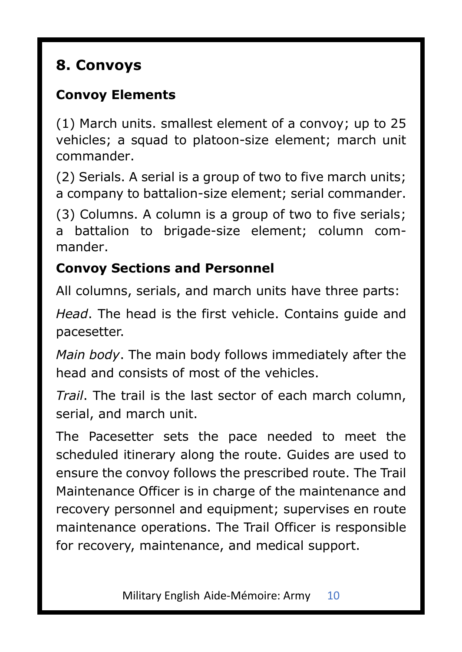# **8. Convoys**

#### **Convoy Elements**

(1) March units. smallest element of a convoy; up to 25 vehicles; a squad to platoon-size element; march unit commander.

(2) Serials. A serial is a group of two to five march units; a company to battalion-size element; serial commander.

(3) Columns. A column is a group of two to five serials; a battalion to brigade-size element; column commander.

#### **Convoy Sections and Personnel**

All columns, serials, and march units have three parts:

*Head*. The head is the first vehicle. Contains guide and pacesetter.

*Main body*. The main body follows immediately after the head and consists of most of the vehicles.

*Trail*. The trail is the last sector of each march column, serial, and march unit.

The Pacesetter sets the pace needed to meet the scheduled itinerary along the route. Guides are used to ensure the convoy follows the prescribed route. The Trail Maintenance Officer is in charge of the maintenance and recovery personnel and equipment; supervises en route maintenance operations. The Trail Officer is responsible for recovery, maintenance, and medical support.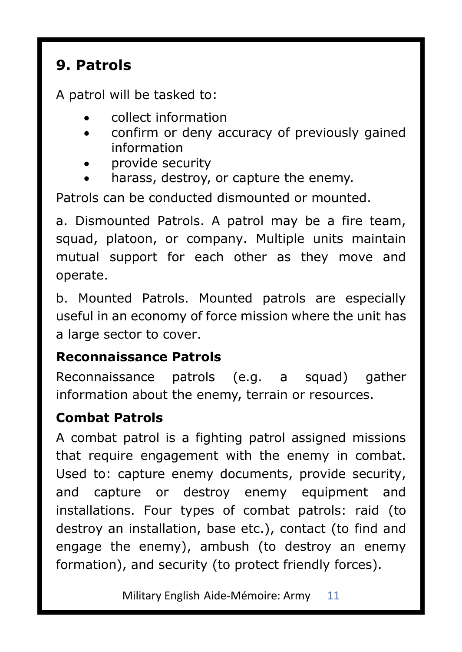#### **9. Patrols**

A patrol will be tasked to:

- collect information
- confirm or deny accuracy of previously gained information
- provide security
- harass, destroy, or capture the enemy.

Patrols can be conducted dismounted or mounted.

a. Dismounted Patrols. A patrol may be a fire team, squad, platoon, or company. Multiple units maintain mutual support for each other as they move and operate.

b. Mounted Patrols. Mounted patrols are especially useful in an economy of force mission where the unit has a large sector to cover.

#### **Reconnaissance Patrols**

Reconnaissance patrols (e.g. a squad) gather information about the enemy, terrain or resources.

#### **Combat Patrols**

A combat patrol is a fighting patrol assigned missions that require engagement with the enemy in combat. Used to: capture enemy documents, provide security, and capture or destroy enemy equipment and installations. Four types of combat patrols: raid (to destroy an installation, base etc.), contact (to find and engage the enemy), ambush (to destroy an enemy formation), and security (to protect friendly forces).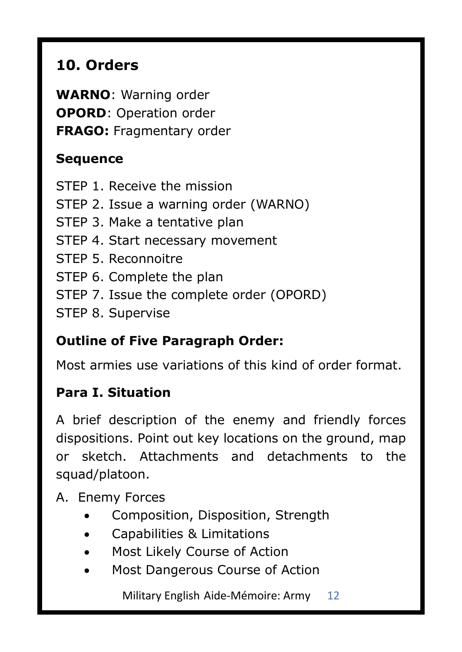# **10. Orders**

**WARNO**: Warning order **OPORD**: Operation order **FRAGO:** Fragmentary order

#### **Sequence**

STEP 1. Receive the mission STEP 2. Issue a warning order (WARNO) STEP 3. Make a tentative plan STEP 4. Start necessary movement STEP 5. Reconnoitre STEP 6. Complete the plan STEP 7. Issue the complete order (OPORD) STEP 8. Supervise

#### **Outline of Five Paragraph Order:**

Most armies use variations of this kind of order format.

#### **Para I. Situation**

A brief description of the enemy and friendly forces dispositions. Point out key locations on the ground, map or sketch. Attachments and detachments to the squad/platoon.

A. Enemy Forces

- Composition, Disposition, Strength
- Capabilities & Limitations
- Most Likely Course of Action
- Most Dangerous Course of Action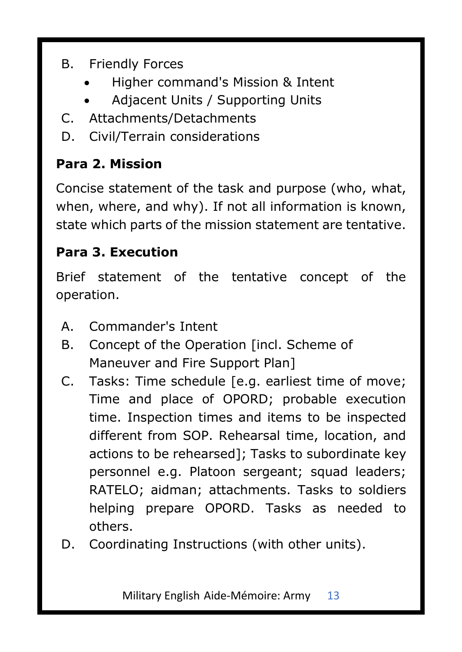- B. Friendly Forces
	- Higher command's Mission & Intent
	- Adiacent Units / Supporting Units
- C. Attachments/Detachments
- D. Civil/Terrain considerations

#### **Para 2. Mission**

Concise statement of the task and purpose (who, what, when, where, and why). If not all information is known, state which parts of the mission statement are tentative.

#### **Para 3. Execution**

Brief statement of the tentative concept of the operation.

- A. Commander's Intent
- B. Concept of the Operation [incl. Scheme of Maneuver and Fire Support Plan]
- C. Tasks: Time schedule [e.g. earliest time of move; Time and place of OPORD; probable execution time. Inspection times and items to be inspected different from SOP. Rehearsal time, location, and actions to be rehearsed]; Tasks to subordinate key personnel e.g. Platoon sergeant; squad leaders; RATELO; aidman; attachments. Tasks to soldiers helping prepare OPORD. Tasks as needed to others.
- D. Coordinating Instructions (with other units).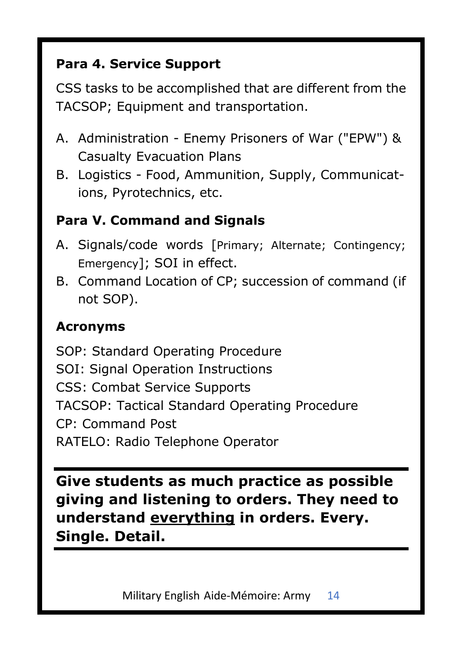#### **Para 4. Service Support**

CSS tasks to be accomplished that are different from the TACSOP; Equipment and transportation.

- A. Administration Enemy Prisoners of War ("EPW") & Casualty Evacuation Plans
- B. Logistics Food, Ammunition, Supply, Communications, Pyrotechnics, etc.

#### **Para V. Command and Signals**

- A. Signals/code words [Primary; Alternate; Contingency; Emergency]; SOI in effect.
- B. Command Location of CP; succession of command (if not SOP).

#### **Acronyms**

SOP: Standard Operating Procedure SOI: Signal Operation Instructions CSS: Combat Service Supports TACSOP: Tactical Standard Operating Procedure CP: Command Post RATELO: Radio Telephone Operator

**Give students as much practice as possible giving and listening to orders. They need to understand everything in orders. Every. Single. Detail.**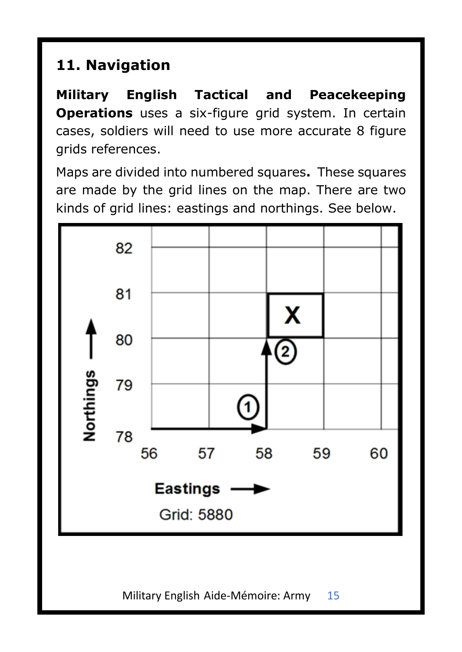# **11. Navigation**

**Military English Tactical and Peacekeeping Operations** uses a six-figure grid system. In certain cases, soldiers will need to use more accurate 8 figure grids references.

Maps are divided into numbered squares**.** These squares are made by the grid lines on the map. There are two kinds of grid lines: eastings and northings. See below.

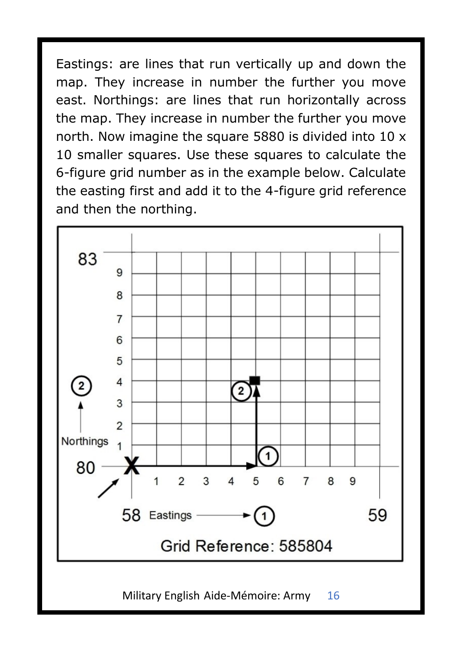Eastings: are lines that run vertically up and down the map. They increase in number the further you move east. Northings: are lines that run horizontally across the map. They increase in number the further you move north. Now imagine the square 5880 is divided into 10 x 10 smaller squares. Use these squares to calculate the 6-figure grid number as in the example below. Calculate the easting first and add it to the 4-figure grid reference and then the northing.

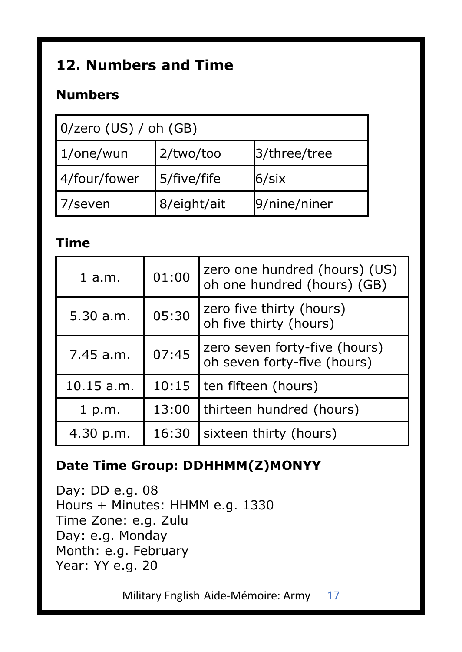# **12. Numbers and Time**

#### **Numbers**

| $0$ /zero (US) / oh (GB) |             |              |  |
|--------------------------|-------------|--------------|--|
| $1$ /one/wun             | 2/two/too   | 3/three/tree |  |
| 4/four/fower             | 5/five/fife | 6/six        |  |
| 7/seven                  | 8/eight/ait | 9/nine/niner |  |

#### **Time**

| $1$ a.m.           | 01:00 | zero one hundred (hours) (US)<br>oh one hundred (hours) (GB) |
|--------------------|-------|--------------------------------------------------------------|
| 05:30<br>5.30 a.m. |       | zero five thirty (hours)<br>oh five thirty (hours)           |
| 7.45 a.m.          | 07:45 | zero seven forty-five (hours)<br>oh seven forty-five (hours) |
| $10.15$ a.m.       | 10:15 | ten fifteen (hours)                                          |
| 1 p.m.             | 13:00 | thirteen hundred (hours)                                     |
| 4.30 p.m.          | 16:30 | sixteen thirty (hours)                                       |

#### **Date Time Group: DDHHMM(Z)MONYY**

Day: DD e.g. 08 Hours + Minutes: HHMM e.g. 1330 Time Zone: e.g. Zulu Day: e.g. Monday Month: e.g. February Year: YY e.g. 20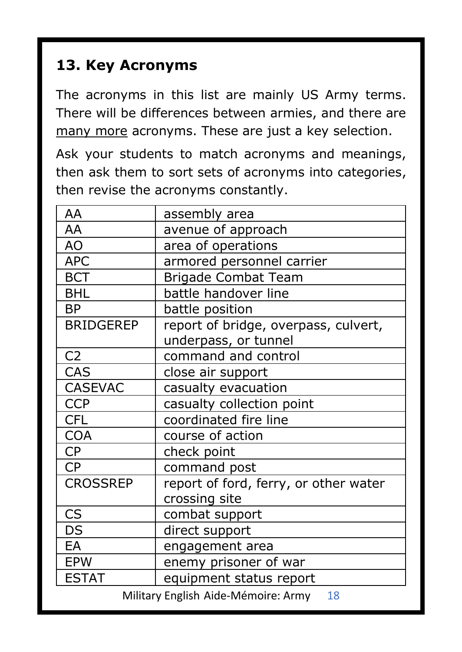### **13. Key Acronyms**

The acronyms in this list are mainly US Army terms. There will be differences between armies, and there are many more acronyms. These are just a key selection.

Ask your students to match acronyms and meanings, then ask them to sort sets of acronyms into categories, then revise the acronyms constantly.

| AA                                      | assembly area                             |  |
|-----------------------------------------|-------------------------------------------|--|
| AA                                      | avenue of approach                        |  |
| AO                                      | area of operations                        |  |
| <b>APC</b>                              | armored personnel carrier                 |  |
| <b>BCT</b>                              | Brigade Combat Team                       |  |
| <b>BHL</b>                              | battle handover line                      |  |
| <b>BP</b>                               | battle position                           |  |
| <b>BRIDGEREP</b>                        | report of bridge, overpass, culvert,      |  |
|                                         | underpass, or tunnel                      |  |
| C <sub>2</sub>                          | command and control                       |  |
| CAS                                     | close air support                         |  |
| <b>CASEVAC</b>                          | casualty evacuation                       |  |
| <b>CCP</b>                              | casualty collection point                 |  |
| <b>CFL</b>                              | coordinated fire line                     |  |
| <b>COA</b>                              | course of action                          |  |
| <b>CP</b>                               | check point                               |  |
| <b>CP</b>                               | command post                              |  |
| <b>CROSSREP</b>                         | report of ford, ferry, or other water     |  |
|                                         | crossing site                             |  |
| CS                                      | combat support                            |  |
| DS                                      | direct support                            |  |
| EA                                      | engagement area                           |  |
| <b>EPW</b>                              | enemy prisoner of war                     |  |
| <b>ESTAT</b><br>equipment status report |                                           |  |
|                                         | Military English Aide-Mémoire: Army<br>18 |  |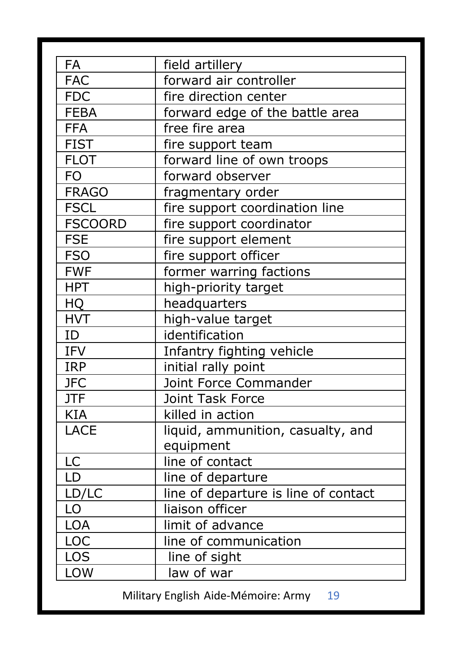| forward air controller<br>FAC.<br><b>FDC</b><br>fire direction center<br><b>FEBA</b><br>forward edge of the battle area<br><b>FFA</b><br>free fire area<br><b>FIST</b><br>fire support team<br><b>FLOT</b><br>forward line of own troops<br>FO<br>forward observer<br><b>FRAGO</b><br>fragmentary order<br><b>FSCL</b><br>fire support coordination line<br><b>FSCOORD</b><br>fire support coordinator<br><b>FSE</b><br>fire support element<br><b>FSO</b><br>fire support officer<br><b>FWF</b><br>former warring factions<br><b>HPT</b><br>high-priority target<br>HQ<br>headquarters<br><b>HVT</b><br>high-value target<br>identification<br>ID<br><b>IFV</b><br>Infantry fighting vehicle<br><b>IRP</b><br>initial rally point<br>Joint Force Commander<br><b>JFC</b><br><b>JTF</b><br>Joint Task Force<br><b>KIA</b><br>killed in action<br>LACE<br>liquid, ammunition, casualty, and<br>equipment<br>LC<br>line of contact<br>LD<br>line of departure<br>LD/LC<br>line of departure is line of contact<br>LO<br>liaison officer<br><b>LOA</b><br>limit of advance<br>LOC<br>line of communication<br>LOS<br>line of sight<br>LOW<br>law of war |    |                 |
|------------------------------------------------------------------------------------------------------------------------------------------------------------------------------------------------------------------------------------------------------------------------------------------------------------------------------------------------------------------------------------------------------------------------------------------------------------------------------------------------------------------------------------------------------------------------------------------------------------------------------------------------------------------------------------------------------------------------------------------------------------------------------------------------------------------------------------------------------------------------------------------------------------------------------------------------------------------------------------------------------------------------------------------------------------------------------------------------------------------------------------------------------|----|-----------------|
|                                                                                                                                                                                                                                                                                                                                                                                                                                                                                                                                                                                                                                                                                                                                                                                                                                                                                                                                                                                                                                                                                                                                                      | FA | field artillery |
|                                                                                                                                                                                                                                                                                                                                                                                                                                                                                                                                                                                                                                                                                                                                                                                                                                                                                                                                                                                                                                                                                                                                                      |    |                 |
|                                                                                                                                                                                                                                                                                                                                                                                                                                                                                                                                                                                                                                                                                                                                                                                                                                                                                                                                                                                                                                                                                                                                                      |    |                 |
|                                                                                                                                                                                                                                                                                                                                                                                                                                                                                                                                                                                                                                                                                                                                                                                                                                                                                                                                                                                                                                                                                                                                                      |    |                 |
|                                                                                                                                                                                                                                                                                                                                                                                                                                                                                                                                                                                                                                                                                                                                                                                                                                                                                                                                                                                                                                                                                                                                                      |    |                 |
|                                                                                                                                                                                                                                                                                                                                                                                                                                                                                                                                                                                                                                                                                                                                                                                                                                                                                                                                                                                                                                                                                                                                                      |    |                 |
|                                                                                                                                                                                                                                                                                                                                                                                                                                                                                                                                                                                                                                                                                                                                                                                                                                                                                                                                                                                                                                                                                                                                                      |    |                 |
|                                                                                                                                                                                                                                                                                                                                                                                                                                                                                                                                                                                                                                                                                                                                                                                                                                                                                                                                                                                                                                                                                                                                                      |    |                 |
|                                                                                                                                                                                                                                                                                                                                                                                                                                                                                                                                                                                                                                                                                                                                                                                                                                                                                                                                                                                                                                                                                                                                                      |    |                 |
|                                                                                                                                                                                                                                                                                                                                                                                                                                                                                                                                                                                                                                                                                                                                                                                                                                                                                                                                                                                                                                                                                                                                                      |    |                 |
|                                                                                                                                                                                                                                                                                                                                                                                                                                                                                                                                                                                                                                                                                                                                                                                                                                                                                                                                                                                                                                                                                                                                                      |    |                 |
|                                                                                                                                                                                                                                                                                                                                                                                                                                                                                                                                                                                                                                                                                                                                                                                                                                                                                                                                                                                                                                                                                                                                                      |    |                 |
|                                                                                                                                                                                                                                                                                                                                                                                                                                                                                                                                                                                                                                                                                                                                                                                                                                                                                                                                                                                                                                                                                                                                                      |    |                 |
|                                                                                                                                                                                                                                                                                                                                                                                                                                                                                                                                                                                                                                                                                                                                                                                                                                                                                                                                                                                                                                                                                                                                                      |    |                 |
|                                                                                                                                                                                                                                                                                                                                                                                                                                                                                                                                                                                                                                                                                                                                                                                                                                                                                                                                                                                                                                                                                                                                                      |    |                 |
|                                                                                                                                                                                                                                                                                                                                                                                                                                                                                                                                                                                                                                                                                                                                                                                                                                                                                                                                                                                                                                                                                                                                                      |    |                 |
|                                                                                                                                                                                                                                                                                                                                                                                                                                                                                                                                                                                                                                                                                                                                                                                                                                                                                                                                                                                                                                                                                                                                                      |    |                 |
|                                                                                                                                                                                                                                                                                                                                                                                                                                                                                                                                                                                                                                                                                                                                                                                                                                                                                                                                                                                                                                                                                                                                                      |    |                 |
|                                                                                                                                                                                                                                                                                                                                                                                                                                                                                                                                                                                                                                                                                                                                                                                                                                                                                                                                                                                                                                                                                                                                                      |    |                 |
|                                                                                                                                                                                                                                                                                                                                                                                                                                                                                                                                                                                                                                                                                                                                                                                                                                                                                                                                                                                                                                                                                                                                                      |    |                 |
|                                                                                                                                                                                                                                                                                                                                                                                                                                                                                                                                                                                                                                                                                                                                                                                                                                                                                                                                                                                                                                                                                                                                                      |    |                 |
|                                                                                                                                                                                                                                                                                                                                                                                                                                                                                                                                                                                                                                                                                                                                                                                                                                                                                                                                                                                                                                                                                                                                                      |    |                 |
|                                                                                                                                                                                                                                                                                                                                                                                                                                                                                                                                                                                                                                                                                                                                                                                                                                                                                                                                                                                                                                                                                                                                                      |    |                 |
|                                                                                                                                                                                                                                                                                                                                                                                                                                                                                                                                                                                                                                                                                                                                                                                                                                                                                                                                                                                                                                                                                                                                                      |    |                 |
|                                                                                                                                                                                                                                                                                                                                                                                                                                                                                                                                                                                                                                                                                                                                                                                                                                                                                                                                                                                                                                                                                                                                                      |    |                 |
|                                                                                                                                                                                                                                                                                                                                                                                                                                                                                                                                                                                                                                                                                                                                                                                                                                                                                                                                                                                                                                                                                                                                                      |    |                 |
|                                                                                                                                                                                                                                                                                                                                                                                                                                                                                                                                                                                                                                                                                                                                                                                                                                                                                                                                                                                                                                                                                                                                                      |    |                 |
|                                                                                                                                                                                                                                                                                                                                                                                                                                                                                                                                                                                                                                                                                                                                                                                                                                                                                                                                                                                                                                                                                                                                                      |    |                 |
|                                                                                                                                                                                                                                                                                                                                                                                                                                                                                                                                                                                                                                                                                                                                                                                                                                                                                                                                                                                                                                                                                                                                                      |    |                 |
|                                                                                                                                                                                                                                                                                                                                                                                                                                                                                                                                                                                                                                                                                                                                                                                                                                                                                                                                                                                                                                                                                                                                                      |    |                 |
|                                                                                                                                                                                                                                                                                                                                                                                                                                                                                                                                                                                                                                                                                                                                                                                                                                                                                                                                                                                                                                                                                                                                                      |    |                 |
|                                                                                                                                                                                                                                                                                                                                                                                                                                                                                                                                                                                                                                                                                                                                                                                                                                                                                                                                                                                                                                                                                                                                                      |    |                 |
|                                                                                                                                                                                                                                                                                                                                                                                                                                                                                                                                                                                                                                                                                                                                                                                                                                                                                                                                                                                                                                                                                                                                                      |    |                 |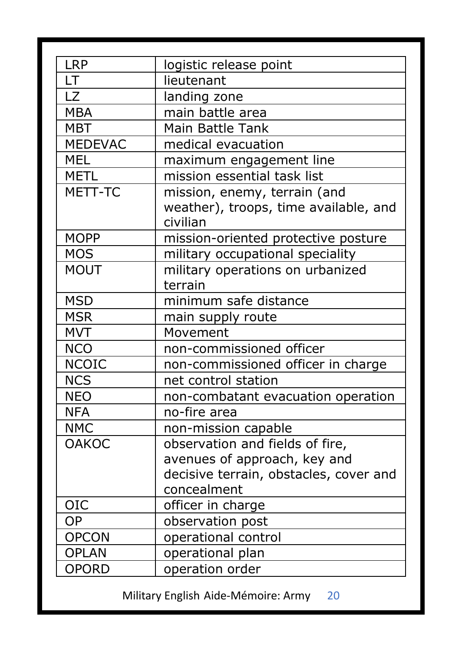| <b>LRP</b>     | logistic release point                 |
|----------------|----------------------------------------|
| LT.            | lieutenant                             |
| 17             | landing zone                           |
| <b>MBA</b>     | main battle area                       |
| <b>MBT</b>     | Main Battle Tank                       |
| <b>MEDEVAC</b> | medical evacuation                     |
| <b>MEL</b>     | maximum engagement line                |
| <b>METL</b>    | mission essential task list            |
| MFTT-TC        | mission, enemy, terrain (and           |
|                | weather), troops, time available, and  |
|                | civilian                               |
| <b>MOPP</b>    | mission-oriented protective posture    |
| <b>MOS</b>     | military occupational speciality       |
| MOUT           | military operations on urbanized       |
|                | terrain                                |
| <b>MSD</b>     | minimum safe distance                  |
| <b>MSR</b>     | main supply route                      |
| <b>MVT</b>     | Movement                               |
| <b>NCO</b>     | non-commissioned officer               |
| <b>NCOIC</b>   | non-commissioned officer in charge     |
| <b>NCS</b>     | net control station                    |
| <b>NEO</b>     | non-combatant evacuation operation     |
| <b>NFA</b>     | no-fire area                           |
| <b>NMC</b>     | non-mission capable                    |
| <b>OAKOC</b>   | observation and fields of fire,        |
|                | avenues of approach, key and           |
|                | decisive terrain, obstacles, cover and |
|                | concealment                            |
| <b>OIC</b>     | officer in charge                      |
| OP             | observation post                       |
| <b>OPCON</b>   | operational control                    |
| <b>OPLAN</b>   | operational plan                       |
| <b>OPORD</b>   | operation order                        |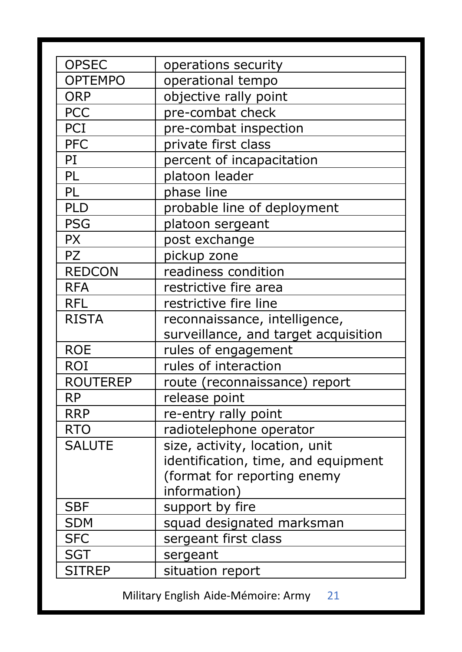| operations security<br><b>OPTEMPO</b><br>operational tempo<br><b>ORP</b><br>objective rally point<br><b>PCC</b><br>pre-combat check<br>PCI<br>pre-combat inspection<br><b>PFC</b><br>private first class<br>PI<br>percent of incapacitation<br>PL<br>platoon leader<br>PL<br>phase line<br>PLD<br>probable line of deployment<br><b>PSG</b><br>platoon sergeant<br><b>PX</b><br>post exchange<br><b>PZ</b><br>pickup zone<br><b>REDCON</b><br>readiness condition<br>restrictive fire area<br><b>RFA</b><br>restrictive fire line<br><b>RFL</b><br><b>RISTA</b><br>reconnaissance, intelligence,<br>surveillance, and target acquisition<br><b>ROE</b><br>rules of engagement<br><b>ROI</b><br>rules of interaction<br><b>ROUTEREP</b><br>route (reconnaissance) report<br><b>RP</b><br>release point<br>re-entry rally point<br><b>RRP</b><br><b>RTO</b><br>radiotelephone operator<br>size, activity, location, unit<br><b>SALUTE</b><br>identification, time, and equipment<br>(format for reporting enemy<br>information)<br><b>SBF</b><br>support by fire<br>squad designated marksman<br><b>SDM</b><br><b>SFC</b><br>sergeant first class<br><b>SGT</b><br>sergeant |               |                  |
|---------------------------------------------------------------------------------------------------------------------------------------------------------------------------------------------------------------------------------------------------------------------------------------------------------------------------------------------------------------------------------------------------------------------------------------------------------------------------------------------------------------------------------------------------------------------------------------------------------------------------------------------------------------------------------------------------------------------------------------------------------------------------------------------------------------------------------------------------------------------------------------------------------------------------------------------------------------------------------------------------------------------------------------------------------------------------------------------------------------------------------------------------------------------------|---------------|------------------|
|                                                                                                                                                                                                                                                                                                                                                                                                                                                                                                                                                                                                                                                                                                                                                                                                                                                                                                                                                                                                                                                                                                                                                                           | <b>OPSEC</b>  |                  |
|                                                                                                                                                                                                                                                                                                                                                                                                                                                                                                                                                                                                                                                                                                                                                                                                                                                                                                                                                                                                                                                                                                                                                                           |               |                  |
|                                                                                                                                                                                                                                                                                                                                                                                                                                                                                                                                                                                                                                                                                                                                                                                                                                                                                                                                                                                                                                                                                                                                                                           |               |                  |
|                                                                                                                                                                                                                                                                                                                                                                                                                                                                                                                                                                                                                                                                                                                                                                                                                                                                                                                                                                                                                                                                                                                                                                           |               |                  |
|                                                                                                                                                                                                                                                                                                                                                                                                                                                                                                                                                                                                                                                                                                                                                                                                                                                                                                                                                                                                                                                                                                                                                                           |               |                  |
|                                                                                                                                                                                                                                                                                                                                                                                                                                                                                                                                                                                                                                                                                                                                                                                                                                                                                                                                                                                                                                                                                                                                                                           |               |                  |
|                                                                                                                                                                                                                                                                                                                                                                                                                                                                                                                                                                                                                                                                                                                                                                                                                                                                                                                                                                                                                                                                                                                                                                           |               |                  |
|                                                                                                                                                                                                                                                                                                                                                                                                                                                                                                                                                                                                                                                                                                                                                                                                                                                                                                                                                                                                                                                                                                                                                                           |               |                  |
|                                                                                                                                                                                                                                                                                                                                                                                                                                                                                                                                                                                                                                                                                                                                                                                                                                                                                                                                                                                                                                                                                                                                                                           |               |                  |
|                                                                                                                                                                                                                                                                                                                                                                                                                                                                                                                                                                                                                                                                                                                                                                                                                                                                                                                                                                                                                                                                                                                                                                           |               |                  |
|                                                                                                                                                                                                                                                                                                                                                                                                                                                                                                                                                                                                                                                                                                                                                                                                                                                                                                                                                                                                                                                                                                                                                                           |               |                  |
|                                                                                                                                                                                                                                                                                                                                                                                                                                                                                                                                                                                                                                                                                                                                                                                                                                                                                                                                                                                                                                                                                                                                                                           |               |                  |
|                                                                                                                                                                                                                                                                                                                                                                                                                                                                                                                                                                                                                                                                                                                                                                                                                                                                                                                                                                                                                                                                                                                                                                           |               |                  |
|                                                                                                                                                                                                                                                                                                                                                                                                                                                                                                                                                                                                                                                                                                                                                                                                                                                                                                                                                                                                                                                                                                                                                                           |               |                  |
|                                                                                                                                                                                                                                                                                                                                                                                                                                                                                                                                                                                                                                                                                                                                                                                                                                                                                                                                                                                                                                                                                                                                                                           |               |                  |
|                                                                                                                                                                                                                                                                                                                                                                                                                                                                                                                                                                                                                                                                                                                                                                                                                                                                                                                                                                                                                                                                                                                                                                           |               |                  |
|                                                                                                                                                                                                                                                                                                                                                                                                                                                                                                                                                                                                                                                                                                                                                                                                                                                                                                                                                                                                                                                                                                                                                                           |               |                  |
|                                                                                                                                                                                                                                                                                                                                                                                                                                                                                                                                                                                                                                                                                                                                                                                                                                                                                                                                                                                                                                                                                                                                                                           |               |                  |
|                                                                                                                                                                                                                                                                                                                                                                                                                                                                                                                                                                                                                                                                                                                                                                                                                                                                                                                                                                                                                                                                                                                                                                           |               |                  |
|                                                                                                                                                                                                                                                                                                                                                                                                                                                                                                                                                                                                                                                                                                                                                                                                                                                                                                                                                                                                                                                                                                                                                                           |               |                  |
|                                                                                                                                                                                                                                                                                                                                                                                                                                                                                                                                                                                                                                                                                                                                                                                                                                                                                                                                                                                                                                                                                                                                                                           |               |                  |
|                                                                                                                                                                                                                                                                                                                                                                                                                                                                                                                                                                                                                                                                                                                                                                                                                                                                                                                                                                                                                                                                                                                                                                           |               |                  |
|                                                                                                                                                                                                                                                                                                                                                                                                                                                                                                                                                                                                                                                                                                                                                                                                                                                                                                                                                                                                                                                                                                                                                                           |               |                  |
|                                                                                                                                                                                                                                                                                                                                                                                                                                                                                                                                                                                                                                                                                                                                                                                                                                                                                                                                                                                                                                                                                                                                                                           |               |                  |
|                                                                                                                                                                                                                                                                                                                                                                                                                                                                                                                                                                                                                                                                                                                                                                                                                                                                                                                                                                                                                                                                                                                                                                           |               |                  |
|                                                                                                                                                                                                                                                                                                                                                                                                                                                                                                                                                                                                                                                                                                                                                                                                                                                                                                                                                                                                                                                                                                                                                                           |               |                  |
|                                                                                                                                                                                                                                                                                                                                                                                                                                                                                                                                                                                                                                                                                                                                                                                                                                                                                                                                                                                                                                                                                                                                                                           |               |                  |
|                                                                                                                                                                                                                                                                                                                                                                                                                                                                                                                                                                                                                                                                                                                                                                                                                                                                                                                                                                                                                                                                                                                                                                           |               |                  |
|                                                                                                                                                                                                                                                                                                                                                                                                                                                                                                                                                                                                                                                                                                                                                                                                                                                                                                                                                                                                                                                                                                                                                                           |               |                  |
|                                                                                                                                                                                                                                                                                                                                                                                                                                                                                                                                                                                                                                                                                                                                                                                                                                                                                                                                                                                                                                                                                                                                                                           |               |                  |
|                                                                                                                                                                                                                                                                                                                                                                                                                                                                                                                                                                                                                                                                                                                                                                                                                                                                                                                                                                                                                                                                                                                                                                           |               |                  |
|                                                                                                                                                                                                                                                                                                                                                                                                                                                                                                                                                                                                                                                                                                                                                                                                                                                                                                                                                                                                                                                                                                                                                                           |               |                  |
|                                                                                                                                                                                                                                                                                                                                                                                                                                                                                                                                                                                                                                                                                                                                                                                                                                                                                                                                                                                                                                                                                                                                                                           | <b>SITREP</b> | situation report |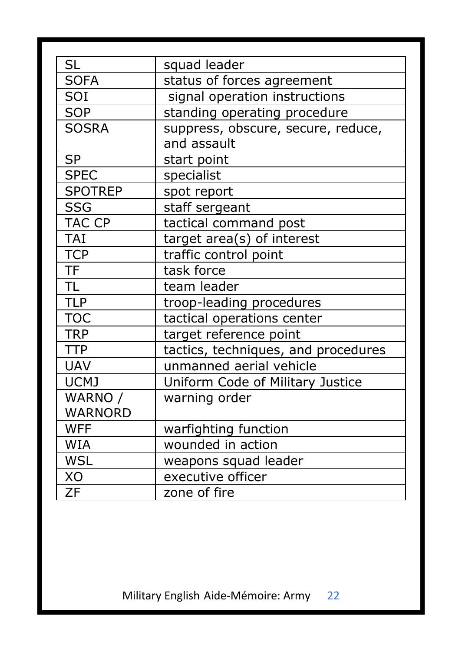| SL             | squad leader                        |
|----------------|-------------------------------------|
| <b>SOFA</b>    | status of forces agreement          |
| SOI            | signal operation instructions       |
| <b>SOP</b>     | standing operating procedure        |
| <b>SOSRA</b>   | suppress, obscure, secure, reduce,  |
|                | and assault                         |
| <b>SP</b>      | start point                         |
| <b>SPEC</b>    | specialist                          |
| <b>SPOTREP</b> | spot report                         |
| SSG            | staff sergeant                      |
| TAC CP         | tactical command post               |
| <b>TAI</b>     | target area(s) of interest          |
| <b>TCP</b>     | traffic control point               |
| <b>TF</b>      | task force                          |
| <b>TL</b>      | team leader                         |
| <b>TLP</b>     | troop-leading procedures            |
| <b>TOC</b>     | tactical operations center          |
| <b>TRP</b>     | target reference point              |
| <b>TTP</b>     | tactics, techniques, and procedures |
| <b>UAV</b>     | unmanned aerial vehicle             |
| UCMJ           | Uniform Code of Military Justice    |
| WARNO /        | warning order                       |
| <b>WARNORD</b> |                                     |
| <b>WFF</b>     | warfighting function                |
| WIA            | wounded in action                   |
| <b>WSL</b>     | weapons squad leader                |
| XO             | executive officer                   |
| ZF             | zone of fire                        |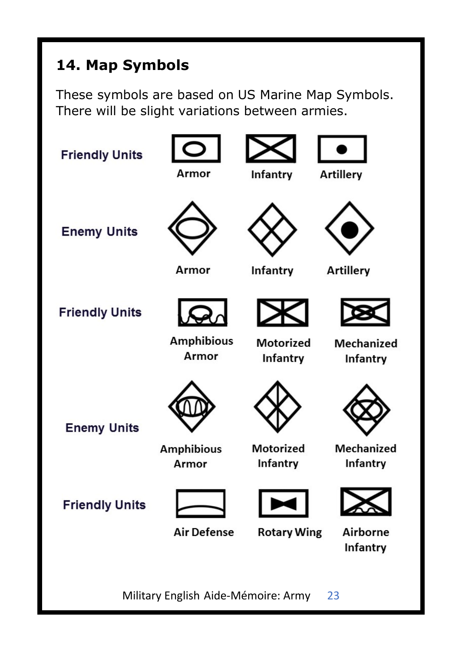# **14. Map Symbols**

These symbols are based on US Marine Map Symbols. There will be slight variations between armies.

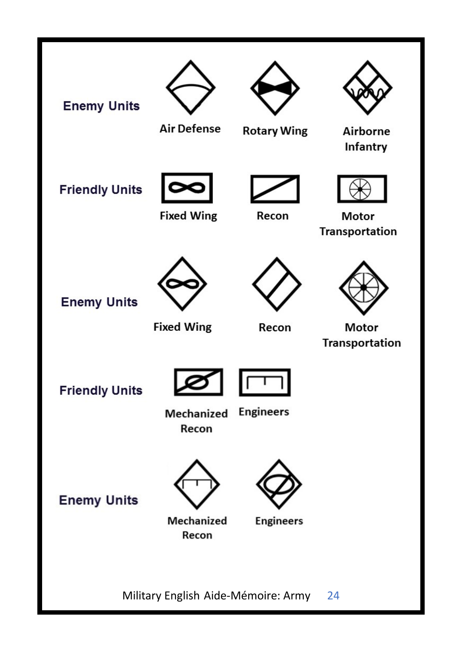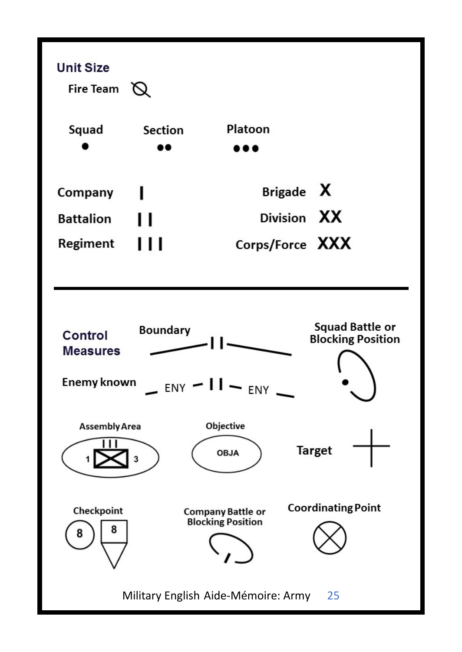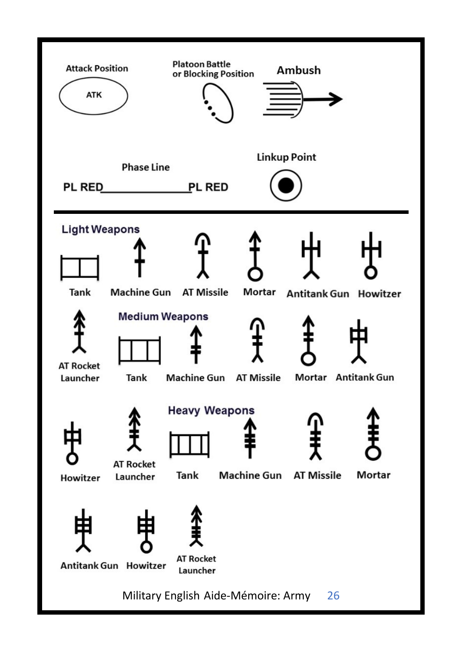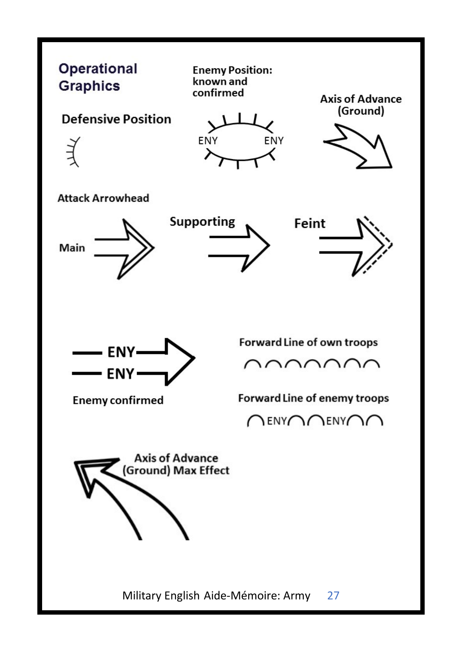